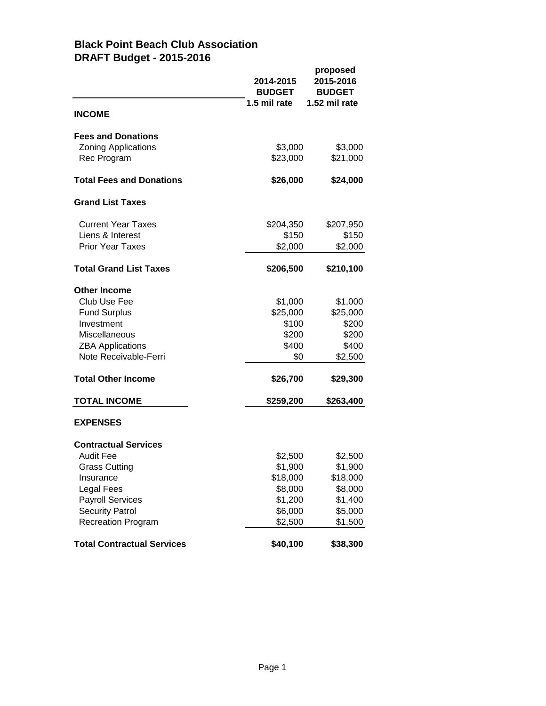## **Black Point Beach Club Association DRAFT Budget - 2015-2016**

|                                   | 2014-2015<br><b>BUDGET</b> | proposed<br>2015-2016<br><b>BUDGET</b> |
|-----------------------------------|----------------------------|----------------------------------------|
| <b>INCOME</b>                     | 1.5 mil rate               | 1.52 mil rate                          |
| <b>Fees and Donations</b>         |                            |                                        |
| <b>Zoning Applications</b>        | \$3,000                    | \$3,000                                |
| Rec Program                       | \$23,000                   | \$21,000                               |
| <b>Total Fees and Donations</b>   | \$26,000                   | \$24,000                               |
| <b>Grand List Taxes</b>           |                            |                                        |
| <b>Current Year Taxes</b>         | \$204,350                  | \$207,950                              |
| Liens & Interest                  | \$150                      | \$150                                  |
| <b>Prior Year Taxes</b>           | \$2,000                    | \$2,000                                |
| <b>Total Grand List Taxes</b>     | \$206,500                  | \$210,100                              |
| <b>Other Income</b>               |                            |                                        |
| Club Use Fee                      | \$1,000                    | \$1,000                                |
| <b>Fund Surplus</b>               | \$25,000                   | \$25,000                               |
| Investment                        | \$100                      | \$200                                  |
| Miscellaneous                     | \$200                      | \$200                                  |
| <b>ZBA Applications</b>           | \$400                      | \$400                                  |
| Note Receivable-Ferri             | \$0                        | \$2,500                                |
| <b>Total Other Income</b>         | \$26,700                   | \$29,300                               |
| <b>TOTAL INCOME</b>               | \$259,200                  | \$263,400                              |
| <b>EXPENSES</b>                   |                            |                                        |
| <b>Contractual Services</b>       |                            |                                        |
| <b>Audit Fee</b>                  | \$2,500                    | \$2,500                                |
| <b>Grass Cutting</b>              | \$1,900                    | \$1,900                                |
| Insurance                         | \$18,000                   | \$18,000                               |
| <b>Legal Fees</b>                 | \$8,000                    | \$8,000                                |
| <b>Payroll Services</b>           | \$1,200                    | \$1,400                                |
| <b>Security Patrol</b>            | \$6,000                    | \$5,000                                |
| <b>Recreation Program</b>         | \$2,500                    | \$1,500                                |
| <b>Total Contractual Services</b> | \$40,100                   | \$38,300                               |